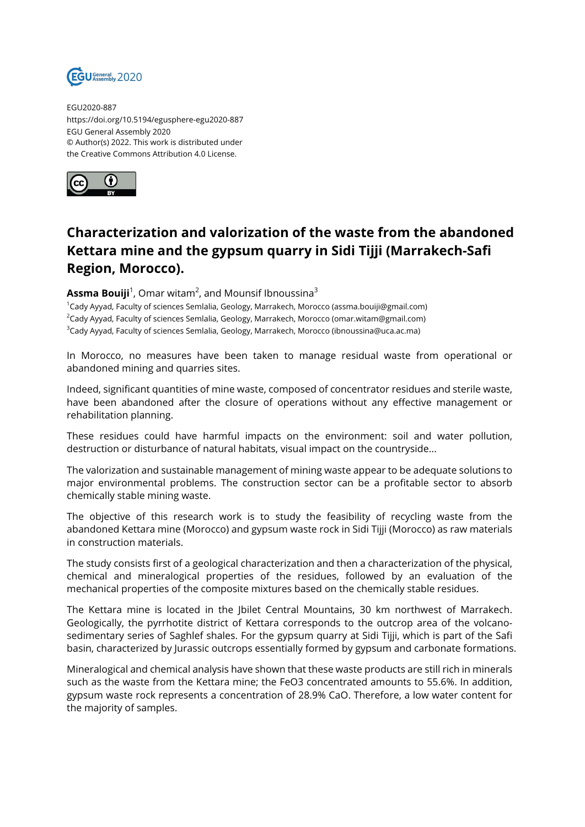

EGU2020-887 https://doi.org/10.5194/egusphere-egu2020-887 EGU General Assembly 2020 © Author(s) 2022. This work is distributed under the Creative Commons Attribution 4.0 License.



## **Characterization and valorization of the waste from the abandoned Kettara mine and the gypsum quarry in Sidi Tijji (Marrakech-Safi Region, Morocco).**

## $\textsf{Assma} \ \textsf{Bouiji}^1$ , Omar witam $^2$ , and Mounsif Ibnoussina $^3$

<sup>1</sup>Cady Ayyad, Faculty of sciences Semlalia, Geology, Marrakech, Morocco (assma.bouiji@gmail.com) <sup>2</sup>Cady Ayyad, Faculty of sciences Semlalia, Geology, Marrakech, Morocco (omar.witam@gmail.com)  $3$ Cady Ayyad, Faculty of sciences Semlalia, Geology, Marrakech, Morocco (ibnoussina@uca.ac.ma)

In Morocco, no measures have been taken to manage residual waste from operational or abandoned mining and quarries sites.

Indeed, significant quantities of mine waste, composed of concentrator residues and sterile waste, have been abandoned after the closure of operations without any effective management or rehabilitation planning.

These residues could have harmful impacts on the environment: soil and water pollution, destruction or disturbance of natural habitats, visual impact on the countryside...

The valorization and sustainable management of mining waste appear to be adequate solutions to major environmental problems. The construction sector can be a profitable sector to absorb chemically stable mining waste.

The objective of this research work is to study the feasibility of recycling waste from the abandoned Kettara mine (Morocco) and gypsum waste rock in Sidi Tijji (Morocco) as raw materials in construction materials.

The study consists first of a geological characterization and then a characterization of the physical, chemical and mineralogical properties of the residues, followed by an evaluation of the mechanical properties of the composite mixtures based on the chemically stable residues.

The Kettara mine is located in the Jbilet Central Mountains, 30 km northwest of Marrakech. Geologically, the pyrrhotite district of Kettara corresponds to the outcrop area of the volcanosedimentary series of Saghlef shales. For the gypsum quarry at Sidi Tijji, which is part of the Safi basin, characterized by Jurassic outcrops essentially formed by gypsum and carbonate formations.

Mineralogical and chemical analysis have shown that these waste products are still rich in minerals such as the waste from the Kettara mine; the FeO3 concentrated amounts to 55.6%. In addition, gypsum waste rock represents a concentration of 28.9% CaO. Therefore, a low water content for the majority of samples.